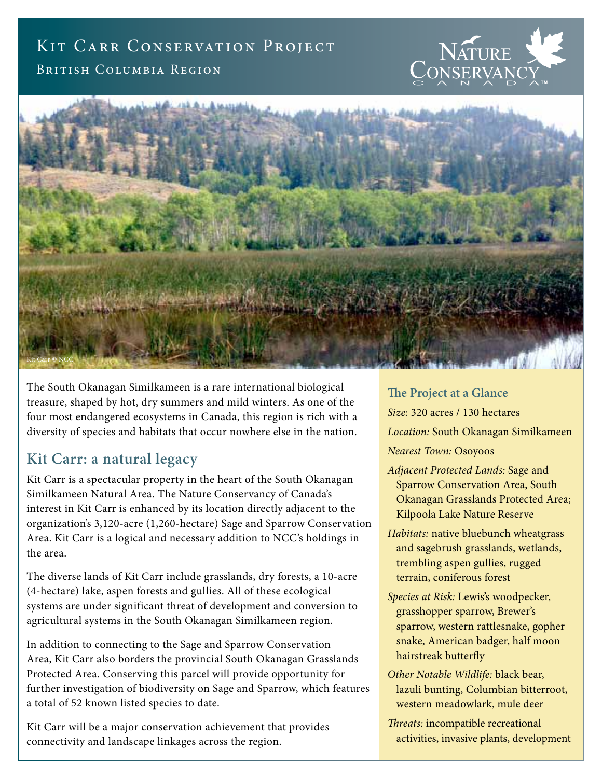## KIT CARR CONSERVATION PROJECT

British Columbia Region





The South Okanagan Similkameen is a rare international biological treasure, shaped by hot, dry summers and mild winters. As one of the four most endangered ecosystems in Canada, this region is rich with a diversity of species and habitats that occur nowhere else in the nation.

## **Kit Carr: a natural legacy**

Kit Carr is a spectacular property in the heart of the South Okanagan Similkameen Natural Area. The Nature Conservancy of Canada's interest in Kit Carr is enhanced by its location directly adjacent to the organization's 3,120-acre (1,260-hectare) Sage and Sparrow Conservation Area. Kit Carr is a logical and necessary addition to NCC's holdings in the area.

The diverse lands of Kit Carr include grasslands, dry forests, a 10-acre (4-hectare) lake, aspen forests and gullies. All of these ecological systems are under significant threat of development and conversion to agricultural systems in the South Okanagan Similkameen region.

In addition to connecting to the Sage and Sparrow Conservation Area, Kit Carr also borders the provincial South Okanagan Grasslands Protected Area. Conserving this parcel will provide opportunity for further investigation of biodiversity on Sage and Sparrow, which features a total of 52 known listed species to date.

Kit Carr will be a major conservation achievement that provides connectivity and landscape linkages across the region.

**The Project at a Glance** *Size:* 320 acres / 130 hectares *Location:* South Okanagan Similkameen *Nearest Town:* Osoyoos

- *Adjacent Protected Lands:* Sage and Sparrow Conservation Area, South Okanagan Grasslands Protected Area; Kilpoola Lake Nature Reserve
- *Habitats:* native bluebunch wheatgrass and sagebrush grasslands, wetlands, trembling aspen gullies, rugged terrain, coniferous forest
- *Species at Risk:* Lewis's woodpecker, grasshopper sparrow, Brewer's sparrow, western rattlesnake, gopher snake, American badger, half moon hairstreak butterfly
- *Other Notable Wildlife:* black bear, lazuli bunting, Columbian bitterroot, western meadowlark, mule deer
- *Threats:* incompatible recreational activities, invasive plants, development